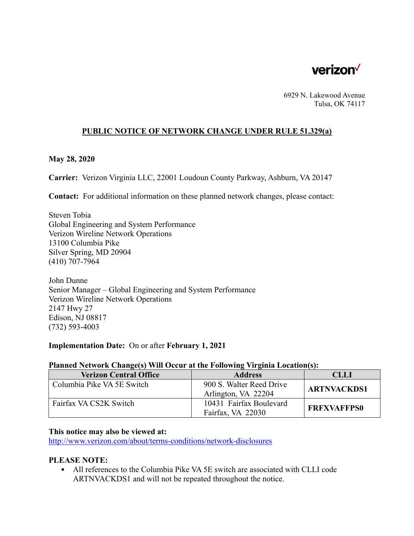

6929 N. Lakewood Avenue Tulsa, OK 74117

## **PUBLIC NOTICE OF NETWORK CHANGE UNDER RULE 51.329(a)**

#### **May 28, 2020**

**Carrier:** Verizon Virginia LLC, 22001 Loudoun County Parkway, Ashburn, VA 20147

**Contact:** For additional information on these planned network changes, please contact:

Steven Tobia Global Engineering and System Performance Verizon Wireline Network Operations 13100 Columbia Pike Silver Spring, MD 20904 (410) 707-7964

John Dunne Senior Manager – Global Engineering and System Performance Verizon Wireline Network Operations 2147 Hwy 27 Edison, NJ 08817 (732) 593-4003

## **Implementation Date:** On or after **February 1, 2021**

#### **Planned Network Change(s) Will Occur at the Following Virginia Location(s):**

| <b>Verizon Central Office</b> | <b>Address</b>           | <b>CLLI</b>        |
|-------------------------------|--------------------------|--------------------|
| Columbia Pike VA 5E Switch    | 900 S. Walter Reed Drive | <b>ARTNVACKDS1</b> |
|                               | Arlington, VA 22204      |                    |
| Fairfax VA CS2K Switch        | 10431 Fairfax Boulevard  |                    |
|                               | Fairfax, VA 22030        | <b>FRFXVAFFPS0</b> |

#### **This notice may also be viewed at:**

http://www.verizon.com/about/terms-conditions/network-disclosures

### **PLEASE NOTE:**

• All references to the Columbia Pike VA 5E switch are associated with CLLI code ARTNVACKDS1 and will not be repeated throughout the notice.